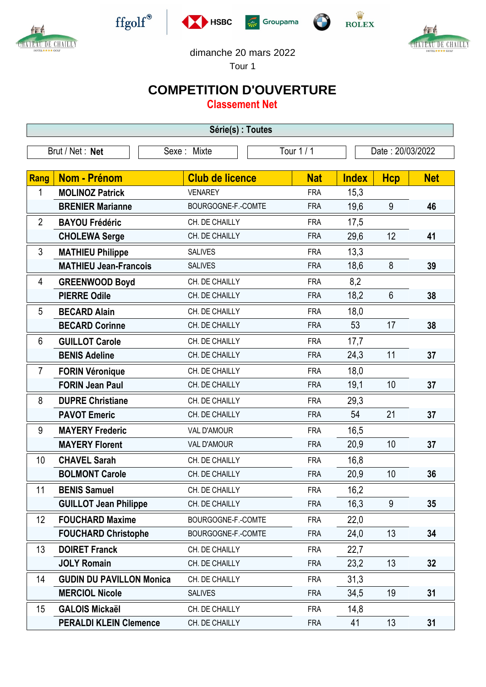



 $\operatorname{ffgolf}^{\circledast}$ 







dimanche 20 mars 2022

Tour 1

## **COMPETITION D'OUVERTURE**

**Classement Net**

| Série(s) : Toutes |                                 |                                  |            |                      |                  |            |  |  |  |
|-------------------|---------------------------------|----------------------------------|------------|----------------------|------------------|------------|--|--|--|
| Brut / Net : Net  |                                 | Sexe: Mixte                      | Tour 1 / 1 |                      | Date: 20/03/2022 |            |  |  |  |
|                   | Nom - Prénom                    | <b>Club de licence</b>           | <b>Nat</b> |                      |                  |            |  |  |  |
| Rang<br>1         | <b>MOLINOZ Patrick</b>          | <b>VENAREY</b>                   | <b>FRA</b> | <b>Index</b><br>15,3 | <b>Hcp</b>       | <b>Net</b> |  |  |  |
|                   | <b>BRENIER Marianne</b>         | BOURGOGNE-F.-COMTE               | <b>FRA</b> | 19,6                 | 9                | 46         |  |  |  |
|                   |                                 |                                  |            |                      |                  |            |  |  |  |
| $\overline{2}$    | <b>BAYOU Frédéric</b>           | CH. DE CHAILLY<br>CH. DE CHAILLY | <b>FRA</b> | 17,5                 | 12               |            |  |  |  |
|                   | <b>CHOLEWA Serge</b>            |                                  | <b>FRA</b> | 29,6                 |                  | 41         |  |  |  |
| 3                 | <b>MATHIEU Philippe</b>         | <b>SALIVES</b>                   | <b>FRA</b> | 13,3                 |                  |            |  |  |  |
|                   | <b>MATHIEU Jean-Francois</b>    | <b>SALIVES</b>                   | <b>FRA</b> | 18,6                 | 8                | 39         |  |  |  |
| 4                 | <b>GREENWOOD Boyd</b>           | CH. DE CHAILLY                   | <b>FRA</b> | 8,2                  |                  |            |  |  |  |
|                   | <b>PIERRE Odile</b>             | CH. DE CHAILLY                   | <b>FRA</b> | 18,2                 | $6\phantom{1}$   | 38         |  |  |  |
| 5                 | <b>BECARD Alain</b>             | CH. DE CHAILLY                   | <b>FRA</b> | 18,0                 |                  |            |  |  |  |
|                   | <b>BECARD Corinne</b>           | CH. DE CHAILLY                   | <b>FRA</b> | 53                   | 17               | 38         |  |  |  |
| 6                 | <b>GUILLOT Carole</b>           | CH. DE CHAILLY                   | <b>FRA</b> | 17,7                 |                  |            |  |  |  |
|                   | <b>BENIS Adeline</b>            | CH. DE CHAILLY                   | <b>FRA</b> | 24,3                 | 11               | 37         |  |  |  |
| $\overline{7}$    | <b>FORIN Véronique</b>          | CH. DE CHAILLY                   | <b>FRA</b> | 18,0                 |                  |            |  |  |  |
|                   | <b>FORIN Jean Paul</b>          | CH. DE CHAILLY                   | <b>FRA</b> | 19,1                 | 10               | 37         |  |  |  |
| 8                 | <b>DUPRE Christiane</b>         | CH. DE CHAILLY                   | <b>FRA</b> | 29,3                 |                  |            |  |  |  |
|                   | <b>PAVOT Emeric</b>             | CH. DE CHAILLY                   | <b>FRA</b> | 54                   | 21               | 37         |  |  |  |
| 9                 | <b>MAYERY Frederic</b>          | VAL D'AMOUR                      | <b>FRA</b> | 16,5                 |                  |            |  |  |  |
|                   | <b>MAYERY Florent</b>           | <b>VAL D'AMOUR</b>               | <b>FRA</b> | 20,9                 | 10               | 37         |  |  |  |
| 10                | <b>CHAVEL Sarah</b>             | CH. DE CHAILLY                   | <b>FRA</b> | 16,8                 |                  |            |  |  |  |
|                   | <b>BOLMONT Carole</b>           | CH. DE CHAILLY                   | <b>FRA</b> | 20,9                 | 10               | 36         |  |  |  |
| 11                | <b>BENIS Samuel</b>             | CH. DE CHAILLY                   | <b>FRA</b> | 16,2                 |                  |            |  |  |  |
|                   | <b>GUILLOT Jean Philippe</b>    | CH. DE CHAILLY                   | <b>FRA</b> | 16,3                 | 9                | 35         |  |  |  |
| 12                | <b>FOUCHARD Maxime</b>          | BOURGOGNE-F.-COMTE               | <b>FRA</b> | 22,0                 |                  |            |  |  |  |
|                   | <b>FOUCHARD Christophe</b>      | BOURGOGNE-F.-COMTE               | <b>FRA</b> | 24,0                 | 13               | 34         |  |  |  |
| 13                | <b>DOIRET Franck</b>            | CH. DE CHAILLY                   | <b>FRA</b> | 22,7                 |                  |            |  |  |  |
|                   | <b>JOLY Romain</b>              | CH. DE CHAILLY                   | <b>FRA</b> | 23,2                 | 13               | 32         |  |  |  |
| 14                | <b>GUDIN DU PAVILLON Monica</b> | CH. DE CHAILLY                   | <b>FRA</b> | 31,3                 |                  |            |  |  |  |
|                   | <b>MERCIOL Nicole</b>           | <b>SALIVES</b>                   | <b>FRA</b> | 34,5                 | 19               | 31         |  |  |  |
| 15                | <b>GALOIS Mickaël</b>           | CH. DE CHAILLY                   | <b>FRA</b> | 14,8                 |                  |            |  |  |  |
|                   | <b>PERALDI KLEIN Clemence</b>   | CH. DE CHAILLY                   | <b>FRA</b> | 41                   | 13               | 31         |  |  |  |
|                   |                                 |                                  |            |                      |                  |            |  |  |  |